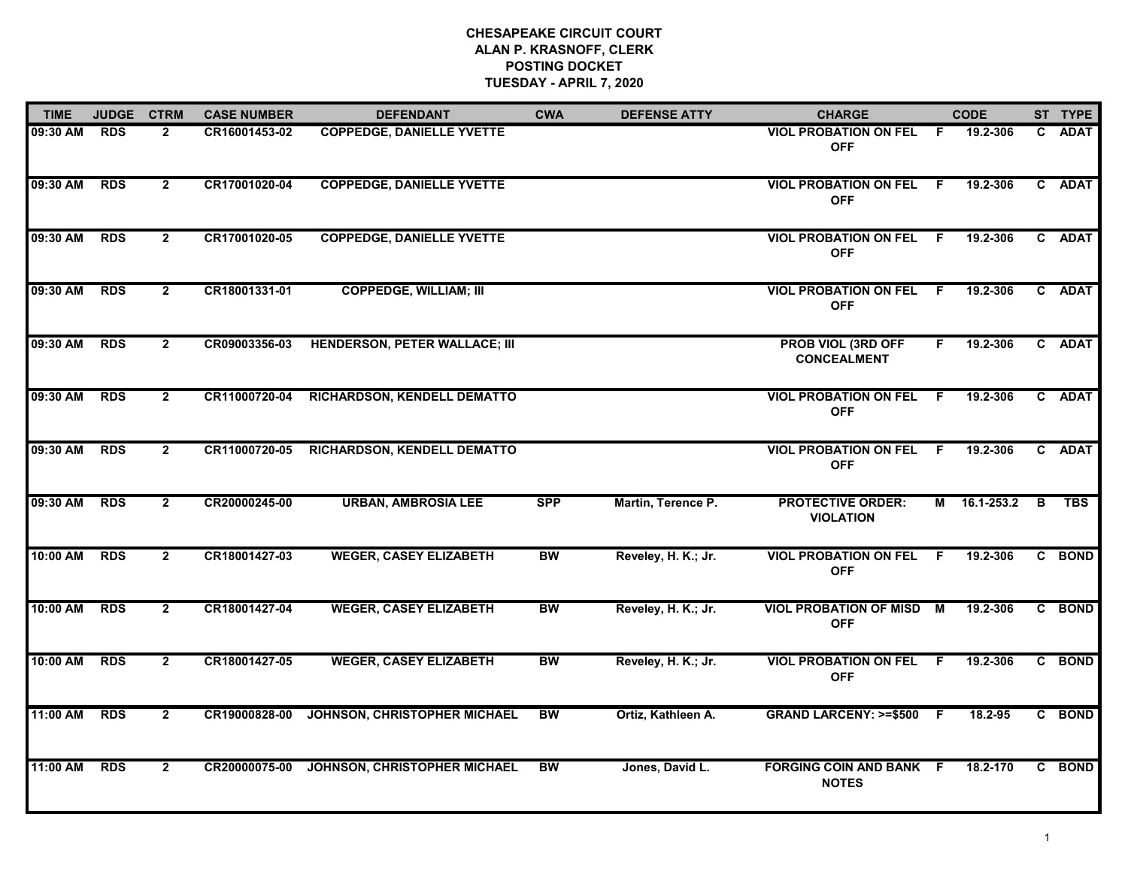## **CHESAPEAKE CIRCUIT COURT ALAN P. KRASNOFF, CLERK POSTING DOCKET TUESDAY - APRIL 7, 2020**

| <b>TIME</b> | <b>JUDGE</b> | <b>CTRM</b>    | <b>CASE NUMBER</b> | <b>DEFENDANT</b>                     | <b>CWA</b> | <b>DEFENSE ATTY</b> | <b>CHARGE</b>                                   |     | <b>CODE</b>  |    | ST TYPE     |
|-------------|--------------|----------------|--------------------|--------------------------------------|------------|---------------------|-------------------------------------------------|-----|--------------|----|-------------|
| 09:30 AM    | <b>RDS</b>   | $\mathbf{2}$   | CR16001453-02      | <b>COPPEDGE, DANIELLE YVETTE</b>     |            |                     | <b>VIOL PROBATION ON FEL</b><br><b>OFF</b>      | F.  | 19.2-306     | C. | <b>ADAT</b> |
| 09:30 AM    | <b>RDS</b>   | $\mathbf{2}$   | CR17001020-04      | <b>COPPEDGE, DANIELLE YVETTE</b>     |            |                     | <b>VIOL PROBATION ON FEL</b><br><b>OFF</b>      | F.  | 19.2-306     |    | C ADAT      |
| 09:30 AM    | <b>RDS</b>   | $\mathbf{2}$   | CR17001020-05      | <b>COPPEDGE, DANIELLE YVETTE</b>     |            |                     | <b>VIOL PROBATION ON FEL</b><br><b>OFF</b>      | F.  | 19.2-306     |    | C ADAT      |
| 09:30 AM    | <b>RDS</b>   | $\mathbf{2}$   | CR18001331-01      | <b>COPPEDGE, WILLIAM; III</b>        |            |                     | <b>VIOL PROBATION ON FEL</b><br><b>OFF</b>      | -F  | 19.2-306     |    | C ADAT      |
| 09:30 AM    | <b>RDS</b>   | $\mathbf{2}$   | CR09003356-03      | <b>HENDERSON, PETER WALLACE; III</b> |            |                     | <b>PROB VIOL (3RD OFF</b><br><b>CONCEALMENT</b> | F.  | 19.2-306     |    | C ADAT      |
| 09:30 AM    | <b>RDS</b>   | $\mathbf{2}$   | CR11000720-04      | RICHARDSON, KENDELL DEMATTO          |            |                     | <b>VIOL PROBATION ON FEL</b><br><b>OFF</b>      | F.  | 19.2-306     |    | C ADAT      |
| 09:30 AM    | <b>RDS</b>   | $\overline{2}$ | CR11000720-05      | RICHARDSON, KENDELL DEMATTO          |            |                     | <b>VIOL PROBATION ON FEL</b><br><b>OFF</b>      | F.  | 19.2-306     |    | C ADAT      |
| 09:30 AM    | <b>RDS</b>   | $\mathbf{2}$   | CR20000245-00      | <b>URBAN, AMBROSIA LEE</b>           | <b>SPP</b> | Martin, Terence P.  | <b>PROTECTIVE ORDER:</b><br><b>VIOLATION</b>    |     | M 16.1-253.2 | B  | <b>TBS</b>  |
| 10:00 AM    | <b>RDS</b>   | $\overline{2}$ | CR18001427-03      | <b>WEGER, CASEY ELIZABETH</b>        | <b>BW</b>  | Reveley, H. K.; Jr. | <b>VIOL PROBATION ON FEL</b><br><b>OFF</b>      | -F  | 19.2-306     |    | C BOND      |
| 10:00 AM    | <b>RDS</b>   | $\mathbf{2}$   | CR18001427-04      | <b>WEGER, CASEY ELIZABETH</b>        | <b>BW</b>  | Reveley, H. K.; Jr. | <b>VIOL PROBATION OF MISD M</b><br><b>OFF</b>   |     | 19.2-306     |    | C BOND      |
| 10:00 AM    | <b>RDS</b>   | $\mathbf{2}$   | CR18001427-05      | <b>WEGER, CASEY ELIZABETH</b>        | <b>BW</b>  | Reveley, H. K.; Jr. | <b>VIOL PROBATION ON FEL</b><br><b>OFF</b>      | - F | 19.2-306     |    | C BOND      |
| 11:00 AM    | <b>RDS</b>   | $\overline{2}$ | CR19000828-00      | JOHNSON, CHRISTOPHER MICHAEL         | <b>BW</b>  | Ortiz, Kathleen A.  | <b>GRAND LARCENY: &gt;=\$500</b>                | - F | 18.2-95      |    | C BOND      |
| 11:00 AM    | <b>RDS</b>   | $\mathbf{2}$   | CR20000075-00      | JOHNSON, CHRISTOPHER MICHAEL         | BW         | Jones, David L.     | <b>FORGING COIN AND BANK F</b><br><b>NOTES</b>  |     | 18.2-170     |    | C BOND      |